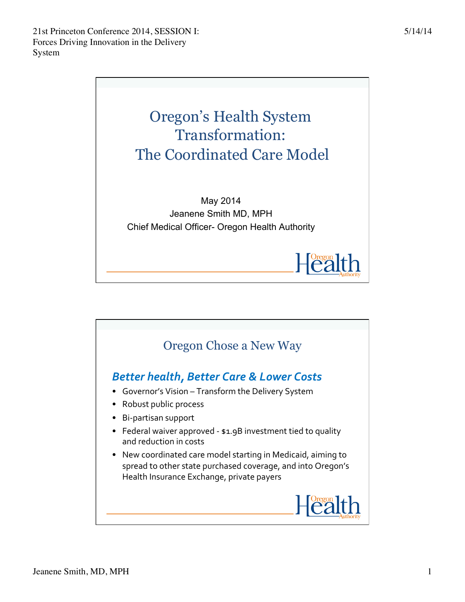

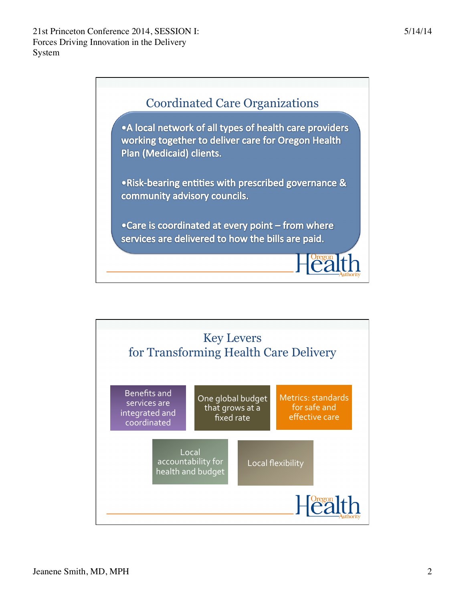

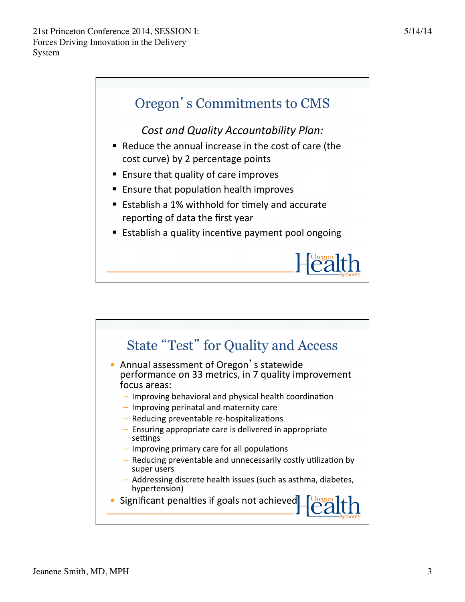

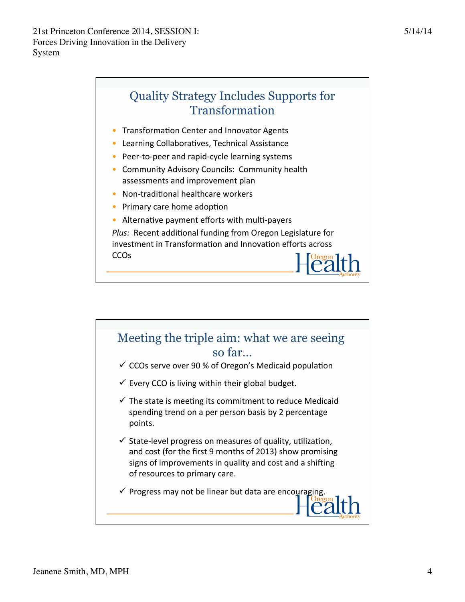## Quality Strategy Includes Supports for Transformation

- Transformation Center and Innovator Agents
- $\bullet$  Learning Collaboratives, Technical Assistance
- Peer-to-peer and rapid-cycle learning systems
- Community Advisory Councils: Community health assessments and improvement plan
- $\bullet$  Non-traditional healthcare workers
- Primary care home adoption
- Alternative payment efforts with multi-payers

Plus: Recent additional funding from Oregon Legislature for investment in Transformation and Innovation efforts across **CCO<sub>s</sub>** 

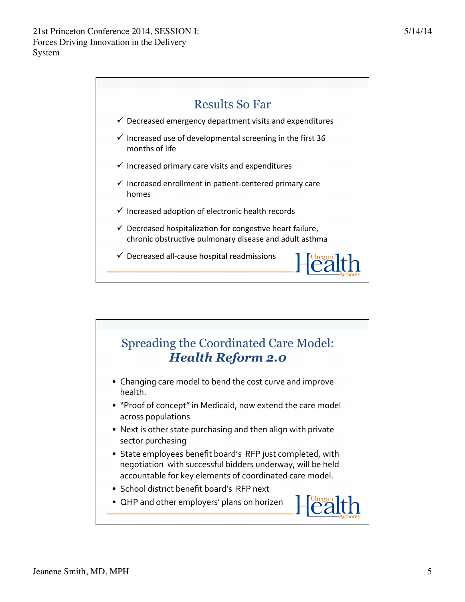